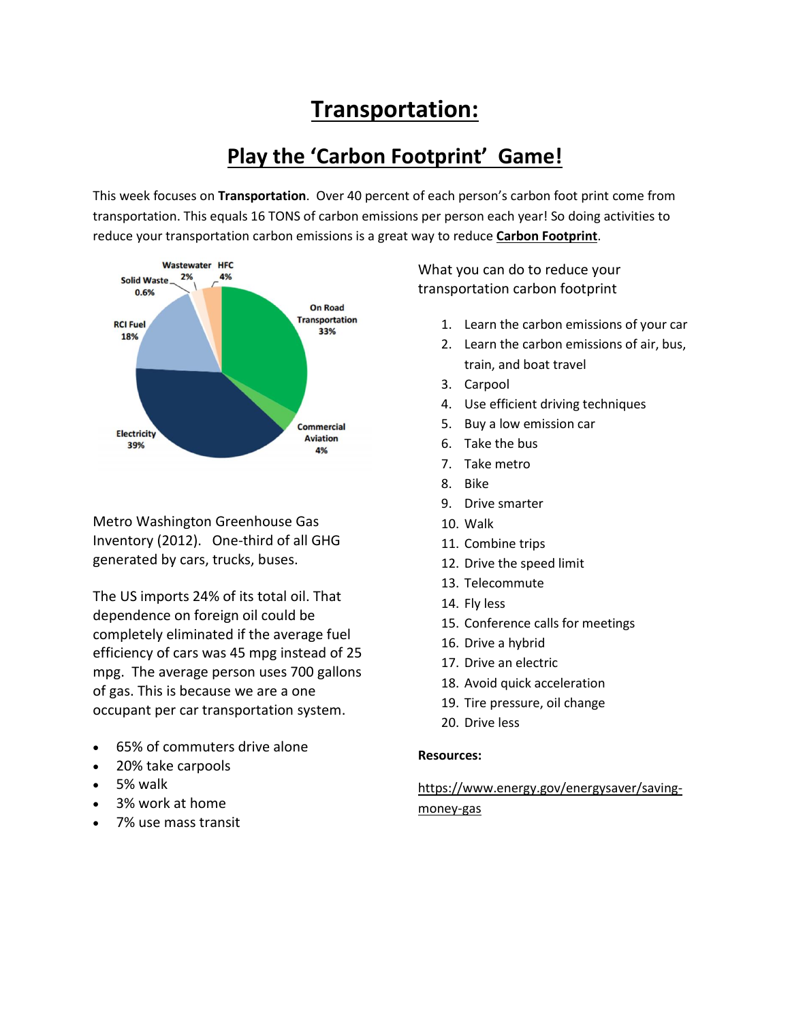# **Transportation:**

## **Play the 'Carbon Footprint' Game!**

This week focuses on **Transportation**. Over 40 percent of each person's carbon foot print come from transportation. This equals 16 TONS of carbon emissions per person each year! So doing activities to reduce your transportation carbon emissions is a great way to reduce **Carbon Footprint**.



Metro Washington Greenhouse Gas Inventory (2012). One-third of all GHG generated by cars, trucks, buses.

The US imports 24% of its total oil. That dependence on foreign oil could be completely eliminated if the average fuel efficiency of cars was 45 mpg instead of 25 mpg. The average person uses 700 gallons of gas. This is because we are a one occupant per car transportation system.

- 65% of commuters drive alone
- 20% take carpools
- 5% walk
- 3% work at home
- 7% use mass transit

What you can do to reduce your transportation carbon footprint

- 1. Learn the carbon emissions of your car
- 2. Learn the carbon emissions of air, bus, train, and boat travel
- 3. Carpool
- 4. Use efficient driving techniques
- 5. Buy a low emission car
- 6. Take the bus
- 7. Take metro
- 8. Bike
- 9. Drive smarter
- 10. Walk
- 11. Combine trips
- 12. Drive the speed limit
- 13. Telecommute
- 14. Fly less
- 15. Conference calls for meetings
- 16. Drive a hybrid
- 17. Drive an electric
- 18. Avoid quick acceleration
- 19. Tire pressure, oil change
- 20. Drive less

### **Resources:**

https://www.energy.gov/energysaver/savingmoney-gas